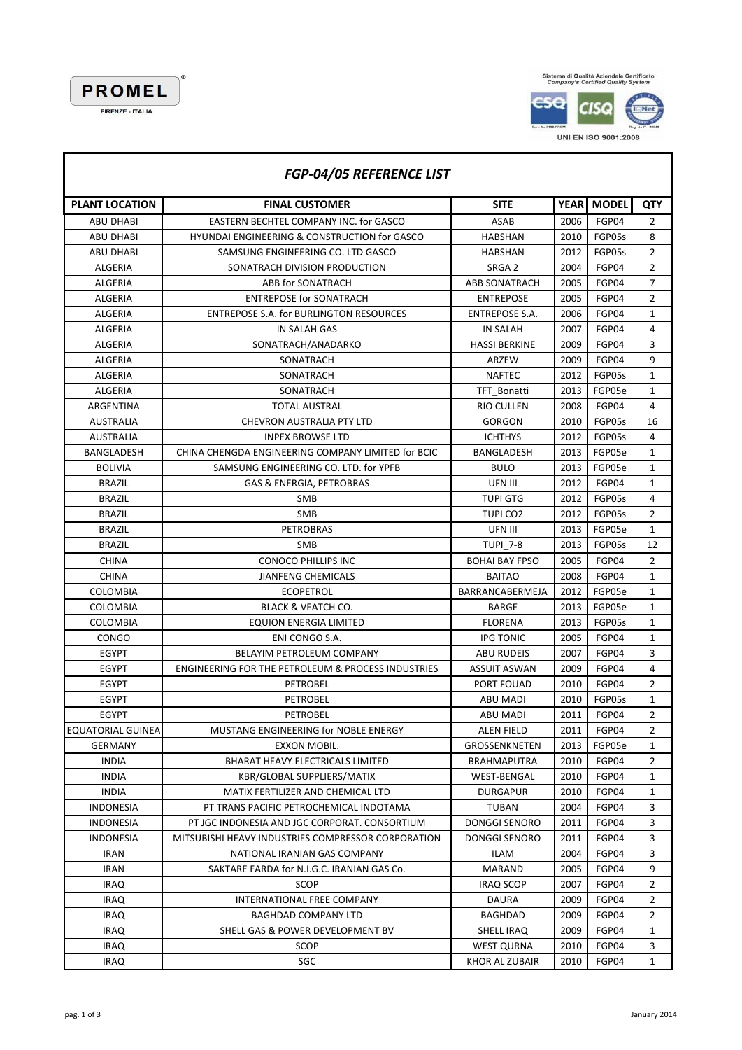Sistema di Qualità Aziendale Certificato<br>Company's Certified Quality System





| <b>PLANT LOCATION</b><br><b>FINAL CUSTOMER</b><br><b>SITE</b><br>YEAR MODEL<br><b>QTY</b><br>2006<br>FGP04<br><b>ABU DHABI</b><br>EASTERN BECHTEL COMPANY INC. for GASCO<br>ASAB<br>$\overline{2}$<br><b>ABU DHABI</b><br>8<br><b>HYUNDAI ENGINEERING &amp; CONSTRUCTION for GASCO</b><br><b>HABSHAN</b><br>2010<br>FGP05s<br><b>ABU DHABI</b><br>2012<br>FGP05s<br>2<br>SAMSUNG ENGINEERING CO. LTD GASCO<br>HABSHAN<br>$\overline{2}$<br>ALGERIA<br>SONATRACH DIVISION PRODUCTION<br>2004<br>FGP04<br>SRGA 2<br>ALGERIA<br>ABB for SONATRACH<br><b>ABB SONATRACH</b><br>2005<br>FGP04<br>7<br>ALGERIA<br><b>ENTREPOSE for SONATRACH</b><br><b>ENTREPOSE</b><br>2005<br>FGP04<br>2<br><b>ALGERIA</b><br><b>ENTREPOSE S.A. for BURLINGTON RESOURCES</b><br><b>ENTREPOSE S.A.</b><br>2006<br>FGP04<br>1<br>ALGERIA<br>IN SALAH GAS<br><b>IN SALAH</b><br>2007<br>FGP04<br>4<br>3<br>ALGERIA<br>SONATRACH/ANADARKO<br><b>HASSI BERKINE</b><br>2009<br>FGP04<br>9<br>2009<br>ALGERIA<br>SONATRACH<br>ARZEW<br>FGP04<br>ALGERIA<br><b>NAFTEC</b><br>2012<br>FGP05s<br>1<br>SONATRACH<br>ALGERIA<br>2013<br>FGP05e<br>SONATRACH<br>TFT Bonatti<br>1<br>2008<br>FGP04<br>4<br>ARGENTINA<br>TOTAL AUSTRAL<br>RIO CULLEN<br><b>GORGON</b><br>2010<br>FGP05s<br>16<br>AUSTRALIA<br>CHEVRON AUSTRALIA PTY LTD<br><b>INPEX BROWSE LTD</b><br>2012<br>FGP05s<br>4<br>AUSTRALIA<br><b>ICHTHYS</b><br>BANGLADESH<br>CHINA CHENGDA ENGINEERING COMPANY LIMITED for BCIC<br>2013<br>FGP05e<br>1<br>BANGLADESH<br><b>BOLIVIA</b><br>SAMSUNG ENGINEERING CO. LTD. for YPFB<br><b>BULO</b><br>2013<br>FGP05e<br>1<br><b>BRAZIL</b><br>2012<br>$\mathbf{1}$<br><b>GAS &amp; ENERGIA, PETROBRAS</b><br>UFN III<br>FGP04<br><b>BRAZIL</b><br><b>SMB</b><br><b>TUPI GTG</b><br>2012<br>4<br>FGP05s<br>$\overline{2}$<br><b>BRAZIL</b><br><b>SMB</b><br><b>TUPICO2</b><br>2012<br>FGP05s<br><b>BRAZIL</b><br><b>PETROBRAS</b><br>UFN III<br>2013<br>FGP05e<br>1<br><b>BRAZIL</b><br>SMB<br><b>TUPI 7-8</b><br>2013<br>FGP05s<br>12<br><b>CHINA</b><br><b>CONOCO PHILLIPS INC</b><br><b>BOHAI BAY FPSO</b><br>2005<br>FGP04<br>2<br><b>CHINA</b><br>$\mathbf{1}$<br><b>JIANFENG CHEMICALS</b><br><b>BAITAO</b><br>2008<br>FGP04<br>BARRANCABERMEJA<br>2012<br>$\mathbf{1}$<br><b>COLOMBIA</b><br><b>ECOPETROL</b><br>FGP05e<br>2013<br>$\mathbf{1}$<br><b>COLOMBIA</b><br><b>BLACK &amp; VEATCH CO.</b><br><b>BARGE</b><br>FGP05e<br>2013<br>COLOMBIA<br><b>EQUION ENERGIA LIMITED</b><br><b>FLORENA</b><br>FGP05s<br>1<br>CONGO<br>$\mathbf{1}$<br>ENI CONGO S.A.<br><b>IPG TONIC</b><br>2005<br>FGP04<br>3<br><b>EGYPT</b><br>BELAYIM PETROLEUM COMPANY<br><b>ABU RUDEIS</b><br>2007<br>FGP04<br><b>EGYPT</b><br><b>ENGINEERING FOR THE PETROLEUM &amp; PROCESS INDUSTRIES</b><br><b>ASSUIT ASWAN</b><br>2009<br>FGP04<br>4<br>$\overline{2}$<br><b>EGYPT</b><br><b>PETROBEL</b><br>PORT FOUAD<br>2010<br>FGP04<br>2010<br>$\mathbf{1}$<br><b>ABU MADI</b><br>FGP05s<br>EGYPT<br>PETROBEL<br>$\overline{2}$<br>2011<br>FGP04<br><b>EGYPT</b><br><b>PETROBEL</b><br>ABU MADI<br>FGP04<br>2011<br>$\overline{2}$<br><b>EQUATORIAL GUINEA</b><br>MUSTANG ENGINEERING for NOBLE ENERGY<br><b>ALEN FIELD</b><br>2013<br>GERMANY<br>EXXON MOBIL.<br><b>GROSSENKNETEN</b><br>FGP05e<br>1<br><b>INDIA</b><br>BHARAT HEAVY ELECTRICALS LIMITED<br>2010<br>BRAHMAPUTRA<br>FGP04<br>2<br><b>INDIA</b><br>KBR/GLOBAL SUPPLIERS/MATIX<br>WEST-BENGAL<br>2010<br>FGP04<br>1<br><b>INDIA</b><br>MATIX FERTILIZER AND CHEMICAL LTD<br><b>DURGAPUR</b><br>2010<br>FGP04<br>1<br><b>INDONESIA</b><br>PT TRANS PACIFIC PETROCHEMICAL INDOTAMA<br>TUBAN<br>2004<br>FGP04<br>3<br><b>INDONESIA</b><br>DONGGI SENORO<br>2011<br>3<br>PT JGC INDONESIA AND JGC CORPORAT. CONSORTIUM<br>FGP04<br><b>INDONESIA</b><br>MITSUBISHI HEAVY INDUSTRIES COMPRESSOR CORPORATION<br>DONGGI SENORO<br>2011<br>FGP04<br>3<br><b>IRAN</b><br>NATIONAL IRANIAN GAS COMPANY<br><b>ILAM</b><br>2004<br>FGP04<br>3<br>9<br><b>IRAN</b><br>SAKTARE FARDA for N.I.G.C. IRANIAN GAS Co.<br>MARAND<br>2005<br>FGP04<br>SCOP<br><b>IRAQ SCOP</b><br>2007<br>FGP04<br>2<br><b>IRAQ</b><br>INTERNATIONAL FREE COMPANY<br>2009<br>2<br>IRAQ<br>DAURA<br>FGP04<br>BAGHDAD COMPANY LTD<br><b>BAGHDAD</b><br>2009<br>FGP04<br>2<br>IRAQ<br><b>IRAQ</b><br>SHELL GAS & POWER DEVELOPMENT BV<br>2009<br>FGP04<br>$\mathbf{1}$<br>SHELL IRAQ<br>3<br><b>IRAQ</b><br>SCOP<br><b>WEST QURNA</b><br>2010<br>FGP04<br><b>IRAQ</b><br>SGC<br>KHOR AL ZUBAIR<br>2010<br>FGP04<br>1 | <b>FGP-04/05 REFERENCE LIST</b> |  |  |  |  |  |  |  |
|-------------------------------------------------------------------------------------------------------------------------------------------------------------------------------------------------------------------------------------------------------------------------------------------------------------------------------------------------------------------------------------------------------------------------------------------------------------------------------------------------------------------------------------------------------------------------------------------------------------------------------------------------------------------------------------------------------------------------------------------------------------------------------------------------------------------------------------------------------------------------------------------------------------------------------------------------------------------------------------------------------------------------------------------------------------------------------------------------------------------------------------------------------------------------------------------------------------------------------------------------------------------------------------------------------------------------------------------------------------------------------------------------------------------------------------------------------------------------------------------------------------------------------------------------------------------------------------------------------------------------------------------------------------------------------------------------------------------------------------------------------------------------------------------------------------------------------------------------------------------------------------------------------------------------------------------------------------------------------------------------------------------------------------------------------------------------------------------------------------------------------------------------------------------------------------------------------------------------------------------------------------------------------------------------------------------------------------------------------------------------------------------------------------------------------------------------------------------------------------------------------------------------------------------------------------------------------------------------------------------------------------------------------------------------------------------------------------------------------------------------------------------------------------------------------------------------------------------------------------------------------------------------------------------------------------------------------------------------------------------------------------------------------------------------------------------------------------------------------------------------------------------------------------------------------------------------------------------------------------------------------------------------------------------------------------------------------------------------------------------------------------------------------------------------------------------------------------------------------------------------------------------------------------------------------------------------------------------------------------------------------------------------------------------------------------------------------------------------------------------------------------------------------------------------------------------------------------------------------------------------------------------------------------------------------------------------------------------------------------------------------------------------------------------------------------------------------------------------------------------------------------------------------------------------------------------------------------------------------------------------------------------------------------------------------------------------------------------------------------------------------------------------------------------------------------------------------------------------------------------------|---------------------------------|--|--|--|--|--|--|--|
|                                                                                                                                                                                                                                                                                                                                                                                                                                                                                                                                                                                                                                                                                                                                                                                                                                                                                                                                                                                                                                                                                                                                                                                                                                                                                                                                                                                                                                                                                                                                                                                                                                                                                                                                                                                                                                                                                                                                                                                                                                                                                                                                                                                                                                                                                                                                                                                                                                                                                                                                                                                                                                                                                                                                                                                                                                                                                                                                                                                                                                                                                                                                                                                                                                                                                                                                                                                                                                                                                                                                                                                                                                                                                                                                                                                                                                                                                                                                                                                                                                                                                                                                                                                                                                                                                                                                                                                                                                                                                                 |                                 |  |  |  |  |  |  |  |
|                                                                                                                                                                                                                                                                                                                                                                                                                                                                                                                                                                                                                                                                                                                                                                                                                                                                                                                                                                                                                                                                                                                                                                                                                                                                                                                                                                                                                                                                                                                                                                                                                                                                                                                                                                                                                                                                                                                                                                                                                                                                                                                                                                                                                                                                                                                                                                                                                                                                                                                                                                                                                                                                                                                                                                                                                                                                                                                                                                                                                                                                                                                                                                                                                                                                                                                                                                                                                                                                                                                                                                                                                                                                                                                                                                                                                                                                                                                                                                                                                                                                                                                                                                                                                                                                                                                                                                                                                                                                                                 |                                 |  |  |  |  |  |  |  |
|                                                                                                                                                                                                                                                                                                                                                                                                                                                                                                                                                                                                                                                                                                                                                                                                                                                                                                                                                                                                                                                                                                                                                                                                                                                                                                                                                                                                                                                                                                                                                                                                                                                                                                                                                                                                                                                                                                                                                                                                                                                                                                                                                                                                                                                                                                                                                                                                                                                                                                                                                                                                                                                                                                                                                                                                                                                                                                                                                                                                                                                                                                                                                                                                                                                                                                                                                                                                                                                                                                                                                                                                                                                                                                                                                                                                                                                                                                                                                                                                                                                                                                                                                                                                                                                                                                                                                                                                                                                                                                 |                                 |  |  |  |  |  |  |  |
|                                                                                                                                                                                                                                                                                                                                                                                                                                                                                                                                                                                                                                                                                                                                                                                                                                                                                                                                                                                                                                                                                                                                                                                                                                                                                                                                                                                                                                                                                                                                                                                                                                                                                                                                                                                                                                                                                                                                                                                                                                                                                                                                                                                                                                                                                                                                                                                                                                                                                                                                                                                                                                                                                                                                                                                                                                                                                                                                                                                                                                                                                                                                                                                                                                                                                                                                                                                                                                                                                                                                                                                                                                                                                                                                                                                                                                                                                                                                                                                                                                                                                                                                                                                                                                                                                                                                                                                                                                                                                                 |                                 |  |  |  |  |  |  |  |
|                                                                                                                                                                                                                                                                                                                                                                                                                                                                                                                                                                                                                                                                                                                                                                                                                                                                                                                                                                                                                                                                                                                                                                                                                                                                                                                                                                                                                                                                                                                                                                                                                                                                                                                                                                                                                                                                                                                                                                                                                                                                                                                                                                                                                                                                                                                                                                                                                                                                                                                                                                                                                                                                                                                                                                                                                                                                                                                                                                                                                                                                                                                                                                                                                                                                                                                                                                                                                                                                                                                                                                                                                                                                                                                                                                                                                                                                                                                                                                                                                                                                                                                                                                                                                                                                                                                                                                                                                                                                                                 |                                 |  |  |  |  |  |  |  |
|                                                                                                                                                                                                                                                                                                                                                                                                                                                                                                                                                                                                                                                                                                                                                                                                                                                                                                                                                                                                                                                                                                                                                                                                                                                                                                                                                                                                                                                                                                                                                                                                                                                                                                                                                                                                                                                                                                                                                                                                                                                                                                                                                                                                                                                                                                                                                                                                                                                                                                                                                                                                                                                                                                                                                                                                                                                                                                                                                                                                                                                                                                                                                                                                                                                                                                                                                                                                                                                                                                                                                                                                                                                                                                                                                                                                                                                                                                                                                                                                                                                                                                                                                                                                                                                                                                                                                                                                                                                                                                 |                                 |  |  |  |  |  |  |  |
|                                                                                                                                                                                                                                                                                                                                                                                                                                                                                                                                                                                                                                                                                                                                                                                                                                                                                                                                                                                                                                                                                                                                                                                                                                                                                                                                                                                                                                                                                                                                                                                                                                                                                                                                                                                                                                                                                                                                                                                                                                                                                                                                                                                                                                                                                                                                                                                                                                                                                                                                                                                                                                                                                                                                                                                                                                                                                                                                                                                                                                                                                                                                                                                                                                                                                                                                                                                                                                                                                                                                                                                                                                                                                                                                                                                                                                                                                                                                                                                                                                                                                                                                                                                                                                                                                                                                                                                                                                                                                                 |                                 |  |  |  |  |  |  |  |
|                                                                                                                                                                                                                                                                                                                                                                                                                                                                                                                                                                                                                                                                                                                                                                                                                                                                                                                                                                                                                                                                                                                                                                                                                                                                                                                                                                                                                                                                                                                                                                                                                                                                                                                                                                                                                                                                                                                                                                                                                                                                                                                                                                                                                                                                                                                                                                                                                                                                                                                                                                                                                                                                                                                                                                                                                                                                                                                                                                                                                                                                                                                                                                                                                                                                                                                                                                                                                                                                                                                                                                                                                                                                                                                                                                                                                                                                                                                                                                                                                                                                                                                                                                                                                                                                                                                                                                                                                                                                                                 |                                 |  |  |  |  |  |  |  |
|                                                                                                                                                                                                                                                                                                                                                                                                                                                                                                                                                                                                                                                                                                                                                                                                                                                                                                                                                                                                                                                                                                                                                                                                                                                                                                                                                                                                                                                                                                                                                                                                                                                                                                                                                                                                                                                                                                                                                                                                                                                                                                                                                                                                                                                                                                                                                                                                                                                                                                                                                                                                                                                                                                                                                                                                                                                                                                                                                                                                                                                                                                                                                                                                                                                                                                                                                                                                                                                                                                                                                                                                                                                                                                                                                                                                                                                                                                                                                                                                                                                                                                                                                                                                                                                                                                                                                                                                                                                                                                 |                                 |  |  |  |  |  |  |  |
|                                                                                                                                                                                                                                                                                                                                                                                                                                                                                                                                                                                                                                                                                                                                                                                                                                                                                                                                                                                                                                                                                                                                                                                                                                                                                                                                                                                                                                                                                                                                                                                                                                                                                                                                                                                                                                                                                                                                                                                                                                                                                                                                                                                                                                                                                                                                                                                                                                                                                                                                                                                                                                                                                                                                                                                                                                                                                                                                                                                                                                                                                                                                                                                                                                                                                                                                                                                                                                                                                                                                                                                                                                                                                                                                                                                                                                                                                                                                                                                                                                                                                                                                                                                                                                                                                                                                                                                                                                                                                                 |                                 |  |  |  |  |  |  |  |
|                                                                                                                                                                                                                                                                                                                                                                                                                                                                                                                                                                                                                                                                                                                                                                                                                                                                                                                                                                                                                                                                                                                                                                                                                                                                                                                                                                                                                                                                                                                                                                                                                                                                                                                                                                                                                                                                                                                                                                                                                                                                                                                                                                                                                                                                                                                                                                                                                                                                                                                                                                                                                                                                                                                                                                                                                                                                                                                                                                                                                                                                                                                                                                                                                                                                                                                                                                                                                                                                                                                                                                                                                                                                                                                                                                                                                                                                                                                                                                                                                                                                                                                                                                                                                                                                                                                                                                                                                                                                                                 |                                 |  |  |  |  |  |  |  |
|                                                                                                                                                                                                                                                                                                                                                                                                                                                                                                                                                                                                                                                                                                                                                                                                                                                                                                                                                                                                                                                                                                                                                                                                                                                                                                                                                                                                                                                                                                                                                                                                                                                                                                                                                                                                                                                                                                                                                                                                                                                                                                                                                                                                                                                                                                                                                                                                                                                                                                                                                                                                                                                                                                                                                                                                                                                                                                                                                                                                                                                                                                                                                                                                                                                                                                                                                                                                                                                                                                                                                                                                                                                                                                                                                                                                                                                                                                                                                                                                                                                                                                                                                                                                                                                                                                                                                                                                                                                                                                 |                                 |  |  |  |  |  |  |  |
|                                                                                                                                                                                                                                                                                                                                                                                                                                                                                                                                                                                                                                                                                                                                                                                                                                                                                                                                                                                                                                                                                                                                                                                                                                                                                                                                                                                                                                                                                                                                                                                                                                                                                                                                                                                                                                                                                                                                                                                                                                                                                                                                                                                                                                                                                                                                                                                                                                                                                                                                                                                                                                                                                                                                                                                                                                                                                                                                                                                                                                                                                                                                                                                                                                                                                                                                                                                                                                                                                                                                                                                                                                                                                                                                                                                                                                                                                                                                                                                                                                                                                                                                                                                                                                                                                                                                                                                                                                                                                                 |                                 |  |  |  |  |  |  |  |
|                                                                                                                                                                                                                                                                                                                                                                                                                                                                                                                                                                                                                                                                                                                                                                                                                                                                                                                                                                                                                                                                                                                                                                                                                                                                                                                                                                                                                                                                                                                                                                                                                                                                                                                                                                                                                                                                                                                                                                                                                                                                                                                                                                                                                                                                                                                                                                                                                                                                                                                                                                                                                                                                                                                                                                                                                                                                                                                                                                                                                                                                                                                                                                                                                                                                                                                                                                                                                                                                                                                                                                                                                                                                                                                                                                                                                                                                                                                                                                                                                                                                                                                                                                                                                                                                                                                                                                                                                                                                                                 |                                 |  |  |  |  |  |  |  |
|                                                                                                                                                                                                                                                                                                                                                                                                                                                                                                                                                                                                                                                                                                                                                                                                                                                                                                                                                                                                                                                                                                                                                                                                                                                                                                                                                                                                                                                                                                                                                                                                                                                                                                                                                                                                                                                                                                                                                                                                                                                                                                                                                                                                                                                                                                                                                                                                                                                                                                                                                                                                                                                                                                                                                                                                                                                                                                                                                                                                                                                                                                                                                                                                                                                                                                                                                                                                                                                                                                                                                                                                                                                                                                                                                                                                                                                                                                                                                                                                                                                                                                                                                                                                                                                                                                                                                                                                                                                                                                 |                                 |  |  |  |  |  |  |  |
|                                                                                                                                                                                                                                                                                                                                                                                                                                                                                                                                                                                                                                                                                                                                                                                                                                                                                                                                                                                                                                                                                                                                                                                                                                                                                                                                                                                                                                                                                                                                                                                                                                                                                                                                                                                                                                                                                                                                                                                                                                                                                                                                                                                                                                                                                                                                                                                                                                                                                                                                                                                                                                                                                                                                                                                                                                                                                                                                                                                                                                                                                                                                                                                                                                                                                                                                                                                                                                                                                                                                                                                                                                                                                                                                                                                                                                                                                                                                                                                                                                                                                                                                                                                                                                                                                                                                                                                                                                                                                                 |                                 |  |  |  |  |  |  |  |
|                                                                                                                                                                                                                                                                                                                                                                                                                                                                                                                                                                                                                                                                                                                                                                                                                                                                                                                                                                                                                                                                                                                                                                                                                                                                                                                                                                                                                                                                                                                                                                                                                                                                                                                                                                                                                                                                                                                                                                                                                                                                                                                                                                                                                                                                                                                                                                                                                                                                                                                                                                                                                                                                                                                                                                                                                                                                                                                                                                                                                                                                                                                                                                                                                                                                                                                                                                                                                                                                                                                                                                                                                                                                                                                                                                                                                                                                                                                                                                                                                                                                                                                                                                                                                                                                                                                                                                                                                                                                                                 |                                 |  |  |  |  |  |  |  |
|                                                                                                                                                                                                                                                                                                                                                                                                                                                                                                                                                                                                                                                                                                                                                                                                                                                                                                                                                                                                                                                                                                                                                                                                                                                                                                                                                                                                                                                                                                                                                                                                                                                                                                                                                                                                                                                                                                                                                                                                                                                                                                                                                                                                                                                                                                                                                                                                                                                                                                                                                                                                                                                                                                                                                                                                                                                                                                                                                                                                                                                                                                                                                                                                                                                                                                                                                                                                                                                                                                                                                                                                                                                                                                                                                                                                                                                                                                                                                                                                                                                                                                                                                                                                                                                                                                                                                                                                                                                                                                 |                                 |  |  |  |  |  |  |  |
|                                                                                                                                                                                                                                                                                                                                                                                                                                                                                                                                                                                                                                                                                                                                                                                                                                                                                                                                                                                                                                                                                                                                                                                                                                                                                                                                                                                                                                                                                                                                                                                                                                                                                                                                                                                                                                                                                                                                                                                                                                                                                                                                                                                                                                                                                                                                                                                                                                                                                                                                                                                                                                                                                                                                                                                                                                                                                                                                                                                                                                                                                                                                                                                                                                                                                                                                                                                                                                                                                                                                                                                                                                                                                                                                                                                                                                                                                                                                                                                                                                                                                                                                                                                                                                                                                                                                                                                                                                                                                                 |                                 |  |  |  |  |  |  |  |
|                                                                                                                                                                                                                                                                                                                                                                                                                                                                                                                                                                                                                                                                                                                                                                                                                                                                                                                                                                                                                                                                                                                                                                                                                                                                                                                                                                                                                                                                                                                                                                                                                                                                                                                                                                                                                                                                                                                                                                                                                                                                                                                                                                                                                                                                                                                                                                                                                                                                                                                                                                                                                                                                                                                                                                                                                                                                                                                                                                                                                                                                                                                                                                                                                                                                                                                                                                                                                                                                                                                                                                                                                                                                                                                                                                                                                                                                                                                                                                                                                                                                                                                                                                                                                                                                                                                                                                                                                                                                                                 |                                 |  |  |  |  |  |  |  |
|                                                                                                                                                                                                                                                                                                                                                                                                                                                                                                                                                                                                                                                                                                                                                                                                                                                                                                                                                                                                                                                                                                                                                                                                                                                                                                                                                                                                                                                                                                                                                                                                                                                                                                                                                                                                                                                                                                                                                                                                                                                                                                                                                                                                                                                                                                                                                                                                                                                                                                                                                                                                                                                                                                                                                                                                                                                                                                                                                                                                                                                                                                                                                                                                                                                                                                                                                                                                                                                                                                                                                                                                                                                                                                                                                                                                                                                                                                                                                                                                                                                                                                                                                                                                                                                                                                                                                                                                                                                                                                 |                                 |  |  |  |  |  |  |  |
|                                                                                                                                                                                                                                                                                                                                                                                                                                                                                                                                                                                                                                                                                                                                                                                                                                                                                                                                                                                                                                                                                                                                                                                                                                                                                                                                                                                                                                                                                                                                                                                                                                                                                                                                                                                                                                                                                                                                                                                                                                                                                                                                                                                                                                                                                                                                                                                                                                                                                                                                                                                                                                                                                                                                                                                                                                                                                                                                                                                                                                                                                                                                                                                                                                                                                                                                                                                                                                                                                                                                                                                                                                                                                                                                                                                                                                                                                                                                                                                                                                                                                                                                                                                                                                                                                                                                                                                                                                                                                                 |                                 |  |  |  |  |  |  |  |
|                                                                                                                                                                                                                                                                                                                                                                                                                                                                                                                                                                                                                                                                                                                                                                                                                                                                                                                                                                                                                                                                                                                                                                                                                                                                                                                                                                                                                                                                                                                                                                                                                                                                                                                                                                                                                                                                                                                                                                                                                                                                                                                                                                                                                                                                                                                                                                                                                                                                                                                                                                                                                                                                                                                                                                                                                                                                                                                                                                                                                                                                                                                                                                                                                                                                                                                                                                                                                                                                                                                                                                                                                                                                                                                                                                                                                                                                                                                                                                                                                                                                                                                                                                                                                                                                                                                                                                                                                                                                                                 |                                 |  |  |  |  |  |  |  |
|                                                                                                                                                                                                                                                                                                                                                                                                                                                                                                                                                                                                                                                                                                                                                                                                                                                                                                                                                                                                                                                                                                                                                                                                                                                                                                                                                                                                                                                                                                                                                                                                                                                                                                                                                                                                                                                                                                                                                                                                                                                                                                                                                                                                                                                                                                                                                                                                                                                                                                                                                                                                                                                                                                                                                                                                                                                                                                                                                                                                                                                                                                                                                                                                                                                                                                                                                                                                                                                                                                                                                                                                                                                                                                                                                                                                                                                                                                                                                                                                                                                                                                                                                                                                                                                                                                                                                                                                                                                                                                 |                                 |  |  |  |  |  |  |  |
|                                                                                                                                                                                                                                                                                                                                                                                                                                                                                                                                                                                                                                                                                                                                                                                                                                                                                                                                                                                                                                                                                                                                                                                                                                                                                                                                                                                                                                                                                                                                                                                                                                                                                                                                                                                                                                                                                                                                                                                                                                                                                                                                                                                                                                                                                                                                                                                                                                                                                                                                                                                                                                                                                                                                                                                                                                                                                                                                                                                                                                                                                                                                                                                                                                                                                                                                                                                                                                                                                                                                                                                                                                                                                                                                                                                                                                                                                                                                                                                                                                                                                                                                                                                                                                                                                                                                                                                                                                                                                                 |                                 |  |  |  |  |  |  |  |
|                                                                                                                                                                                                                                                                                                                                                                                                                                                                                                                                                                                                                                                                                                                                                                                                                                                                                                                                                                                                                                                                                                                                                                                                                                                                                                                                                                                                                                                                                                                                                                                                                                                                                                                                                                                                                                                                                                                                                                                                                                                                                                                                                                                                                                                                                                                                                                                                                                                                                                                                                                                                                                                                                                                                                                                                                                                                                                                                                                                                                                                                                                                                                                                                                                                                                                                                                                                                                                                                                                                                                                                                                                                                                                                                                                                                                                                                                                                                                                                                                                                                                                                                                                                                                                                                                                                                                                                                                                                                                                 |                                 |  |  |  |  |  |  |  |
|                                                                                                                                                                                                                                                                                                                                                                                                                                                                                                                                                                                                                                                                                                                                                                                                                                                                                                                                                                                                                                                                                                                                                                                                                                                                                                                                                                                                                                                                                                                                                                                                                                                                                                                                                                                                                                                                                                                                                                                                                                                                                                                                                                                                                                                                                                                                                                                                                                                                                                                                                                                                                                                                                                                                                                                                                                                                                                                                                                                                                                                                                                                                                                                                                                                                                                                                                                                                                                                                                                                                                                                                                                                                                                                                                                                                                                                                                                                                                                                                                                                                                                                                                                                                                                                                                                                                                                                                                                                                                                 |                                 |  |  |  |  |  |  |  |
|                                                                                                                                                                                                                                                                                                                                                                                                                                                                                                                                                                                                                                                                                                                                                                                                                                                                                                                                                                                                                                                                                                                                                                                                                                                                                                                                                                                                                                                                                                                                                                                                                                                                                                                                                                                                                                                                                                                                                                                                                                                                                                                                                                                                                                                                                                                                                                                                                                                                                                                                                                                                                                                                                                                                                                                                                                                                                                                                                                                                                                                                                                                                                                                                                                                                                                                                                                                                                                                                                                                                                                                                                                                                                                                                                                                                                                                                                                                                                                                                                                                                                                                                                                                                                                                                                                                                                                                                                                                                                                 |                                 |  |  |  |  |  |  |  |
|                                                                                                                                                                                                                                                                                                                                                                                                                                                                                                                                                                                                                                                                                                                                                                                                                                                                                                                                                                                                                                                                                                                                                                                                                                                                                                                                                                                                                                                                                                                                                                                                                                                                                                                                                                                                                                                                                                                                                                                                                                                                                                                                                                                                                                                                                                                                                                                                                                                                                                                                                                                                                                                                                                                                                                                                                                                                                                                                                                                                                                                                                                                                                                                                                                                                                                                                                                                                                                                                                                                                                                                                                                                                                                                                                                                                                                                                                                                                                                                                                                                                                                                                                                                                                                                                                                                                                                                                                                                                                                 |                                 |  |  |  |  |  |  |  |
|                                                                                                                                                                                                                                                                                                                                                                                                                                                                                                                                                                                                                                                                                                                                                                                                                                                                                                                                                                                                                                                                                                                                                                                                                                                                                                                                                                                                                                                                                                                                                                                                                                                                                                                                                                                                                                                                                                                                                                                                                                                                                                                                                                                                                                                                                                                                                                                                                                                                                                                                                                                                                                                                                                                                                                                                                                                                                                                                                                                                                                                                                                                                                                                                                                                                                                                                                                                                                                                                                                                                                                                                                                                                                                                                                                                                                                                                                                                                                                                                                                                                                                                                                                                                                                                                                                                                                                                                                                                                                                 |                                 |  |  |  |  |  |  |  |
|                                                                                                                                                                                                                                                                                                                                                                                                                                                                                                                                                                                                                                                                                                                                                                                                                                                                                                                                                                                                                                                                                                                                                                                                                                                                                                                                                                                                                                                                                                                                                                                                                                                                                                                                                                                                                                                                                                                                                                                                                                                                                                                                                                                                                                                                                                                                                                                                                                                                                                                                                                                                                                                                                                                                                                                                                                                                                                                                                                                                                                                                                                                                                                                                                                                                                                                                                                                                                                                                                                                                                                                                                                                                                                                                                                                                                                                                                                                                                                                                                                                                                                                                                                                                                                                                                                                                                                                                                                                                                                 |                                 |  |  |  |  |  |  |  |
|                                                                                                                                                                                                                                                                                                                                                                                                                                                                                                                                                                                                                                                                                                                                                                                                                                                                                                                                                                                                                                                                                                                                                                                                                                                                                                                                                                                                                                                                                                                                                                                                                                                                                                                                                                                                                                                                                                                                                                                                                                                                                                                                                                                                                                                                                                                                                                                                                                                                                                                                                                                                                                                                                                                                                                                                                                                                                                                                                                                                                                                                                                                                                                                                                                                                                                                                                                                                                                                                                                                                                                                                                                                                                                                                                                                                                                                                                                                                                                                                                                                                                                                                                                                                                                                                                                                                                                                                                                                                                                 |                                 |  |  |  |  |  |  |  |
|                                                                                                                                                                                                                                                                                                                                                                                                                                                                                                                                                                                                                                                                                                                                                                                                                                                                                                                                                                                                                                                                                                                                                                                                                                                                                                                                                                                                                                                                                                                                                                                                                                                                                                                                                                                                                                                                                                                                                                                                                                                                                                                                                                                                                                                                                                                                                                                                                                                                                                                                                                                                                                                                                                                                                                                                                                                                                                                                                                                                                                                                                                                                                                                                                                                                                                                                                                                                                                                                                                                                                                                                                                                                                                                                                                                                                                                                                                                                                                                                                                                                                                                                                                                                                                                                                                                                                                                                                                                                                                 |                                 |  |  |  |  |  |  |  |
|                                                                                                                                                                                                                                                                                                                                                                                                                                                                                                                                                                                                                                                                                                                                                                                                                                                                                                                                                                                                                                                                                                                                                                                                                                                                                                                                                                                                                                                                                                                                                                                                                                                                                                                                                                                                                                                                                                                                                                                                                                                                                                                                                                                                                                                                                                                                                                                                                                                                                                                                                                                                                                                                                                                                                                                                                                                                                                                                                                                                                                                                                                                                                                                                                                                                                                                                                                                                                                                                                                                                                                                                                                                                                                                                                                                                                                                                                                                                                                                                                                                                                                                                                                                                                                                                                                                                                                                                                                                                                                 |                                 |  |  |  |  |  |  |  |
|                                                                                                                                                                                                                                                                                                                                                                                                                                                                                                                                                                                                                                                                                                                                                                                                                                                                                                                                                                                                                                                                                                                                                                                                                                                                                                                                                                                                                                                                                                                                                                                                                                                                                                                                                                                                                                                                                                                                                                                                                                                                                                                                                                                                                                                                                                                                                                                                                                                                                                                                                                                                                                                                                                                                                                                                                                                                                                                                                                                                                                                                                                                                                                                                                                                                                                                                                                                                                                                                                                                                                                                                                                                                                                                                                                                                                                                                                                                                                                                                                                                                                                                                                                                                                                                                                                                                                                                                                                                                                                 |                                 |  |  |  |  |  |  |  |
|                                                                                                                                                                                                                                                                                                                                                                                                                                                                                                                                                                                                                                                                                                                                                                                                                                                                                                                                                                                                                                                                                                                                                                                                                                                                                                                                                                                                                                                                                                                                                                                                                                                                                                                                                                                                                                                                                                                                                                                                                                                                                                                                                                                                                                                                                                                                                                                                                                                                                                                                                                                                                                                                                                                                                                                                                                                                                                                                                                                                                                                                                                                                                                                                                                                                                                                                                                                                                                                                                                                                                                                                                                                                                                                                                                                                                                                                                                                                                                                                                                                                                                                                                                                                                                                                                                                                                                                                                                                                                                 |                                 |  |  |  |  |  |  |  |
|                                                                                                                                                                                                                                                                                                                                                                                                                                                                                                                                                                                                                                                                                                                                                                                                                                                                                                                                                                                                                                                                                                                                                                                                                                                                                                                                                                                                                                                                                                                                                                                                                                                                                                                                                                                                                                                                                                                                                                                                                                                                                                                                                                                                                                                                                                                                                                                                                                                                                                                                                                                                                                                                                                                                                                                                                                                                                                                                                                                                                                                                                                                                                                                                                                                                                                                                                                                                                                                                                                                                                                                                                                                                                                                                                                                                                                                                                                                                                                                                                                                                                                                                                                                                                                                                                                                                                                                                                                                                                                 |                                 |  |  |  |  |  |  |  |
|                                                                                                                                                                                                                                                                                                                                                                                                                                                                                                                                                                                                                                                                                                                                                                                                                                                                                                                                                                                                                                                                                                                                                                                                                                                                                                                                                                                                                                                                                                                                                                                                                                                                                                                                                                                                                                                                                                                                                                                                                                                                                                                                                                                                                                                                                                                                                                                                                                                                                                                                                                                                                                                                                                                                                                                                                                                                                                                                                                                                                                                                                                                                                                                                                                                                                                                                                                                                                                                                                                                                                                                                                                                                                                                                                                                                                                                                                                                                                                                                                                                                                                                                                                                                                                                                                                                                                                                                                                                                                                 |                                 |  |  |  |  |  |  |  |
|                                                                                                                                                                                                                                                                                                                                                                                                                                                                                                                                                                                                                                                                                                                                                                                                                                                                                                                                                                                                                                                                                                                                                                                                                                                                                                                                                                                                                                                                                                                                                                                                                                                                                                                                                                                                                                                                                                                                                                                                                                                                                                                                                                                                                                                                                                                                                                                                                                                                                                                                                                                                                                                                                                                                                                                                                                                                                                                                                                                                                                                                                                                                                                                                                                                                                                                                                                                                                                                                                                                                                                                                                                                                                                                                                                                                                                                                                                                                                                                                                                                                                                                                                                                                                                                                                                                                                                                                                                                                                                 |                                 |  |  |  |  |  |  |  |
|                                                                                                                                                                                                                                                                                                                                                                                                                                                                                                                                                                                                                                                                                                                                                                                                                                                                                                                                                                                                                                                                                                                                                                                                                                                                                                                                                                                                                                                                                                                                                                                                                                                                                                                                                                                                                                                                                                                                                                                                                                                                                                                                                                                                                                                                                                                                                                                                                                                                                                                                                                                                                                                                                                                                                                                                                                                                                                                                                                                                                                                                                                                                                                                                                                                                                                                                                                                                                                                                                                                                                                                                                                                                                                                                                                                                                                                                                                                                                                                                                                                                                                                                                                                                                                                                                                                                                                                                                                                                                                 |                                 |  |  |  |  |  |  |  |
|                                                                                                                                                                                                                                                                                                                                                                                                                                                                                                                                                                                                                                                                                                                                                                                                                                                                                                                                                                                                                                                                                                                                                                                                                                                                                                                                                                                                                                                                                                                                                                                                                                                                                                                                                                                                                                                                                                                                                                                                                                                                                                                                                                                                                                                                                                                                                                                                                                                                                                                                                                                                                                                                                                                                                                                                                                                                                                                                                                                                                                                                                                                                                                                                                                                                                                                                                                                                                                                                                                                                                                                                                                                                                                                                                                                                                                                                                                                                                                                                                                                                                                                                                                                                                                                                                                                                                                                                                                                                                                 |                                 |  |  |  |  |  |  |  |
|                                                                                                                                                                                                                                                                                                                                                                                                                                                                                                                                                                                                                                                                                                                                                                                                                                                                                                                                                                                                                                                                                                                                                                                                                                                                                                                                                                                                                                                                                                                                                                                                                                                                                                                                                                                                                                                                                                                                                                                                                                                                                                                                                                                                                                                                                                                                                                                                                                                                                                                                                                                                                                                                                                                                                                                                                                                                                                                                                                                                                                                                                                                                                                                                                                                                                                                                                                                                                                                                                                                                                                                                                                                                                                                                                                                                                                                                                                                                                                                                                                                                                                                                                                                                                                                                                                                                                                                                                                                                                                 |                                 |  |  |  |  |  |  |  |
|                                                                                                                                                                                                                                                                                                                                                                                                                                                                                                                                                                                                                                                                                                                                                                                                                                                                                                                                                                                                                                                                                                                                                                                                                                                                                                                                                                                                                                                                                                                                                                                                                                                                                                                                                                                                                                                                                                                                                                                                                                                                                                                                                                                                                                                                                                                                                                                                                                                                                                                                                                                                                                                                                                                                                                                                                                                                                                                                                                                                                                                                                                                                                                                                                                                                                                                                                                                                                                                                                                                                                                                                                                                                                                                                                                                                                                                                                                                                                                                                                                                                                                                                                                                                                                                                                                                                                                                                                                                                                                 |                                 |  |  |  |  |  |  |  |
|                                                                                                                                                                                                                                                                                                                                                                                                                                                                                                                                                                                                                                                                                                                                                                                                                                                                                                                                                                                                                                                                                                                                                                                                                                                                                                                                                                                                                                                                                                                                                                                                                                                                                                                                                                                                                                                                                                                                                                                                                                                                                                                                                                                                                                                                                                                                                                                                                                                                                                                                                                                                                                                                                                                                                                                                                                                                                                                                                                                                                                                                                                                                                                                                                                                                                                                                                                                                                                                                                                                                                                                                                                                                                                                                                                                                                                                                                                                                                                                                                                                                                                                                                                                                                                                                                                                                                                                                                                                                                                 |                                 |  |  |  |  |  |  |  |
|                                                                                                                                                                                                                                                                                                                                                                                                                                                                                                                                                                                                                                                                                                                                                                                                                                                                                                                                                                                                                                                                                                                                                                                                                                                                                                                                                                                                                                                                                                                                                                                                                                                                                                                                                                                                                                                                                                                                                                                                                                                                                                                                                                                                                                                                                                                                                                                                                                                                                                                                                                                                                                                                                                                                                                                                                                                                                                                                                                                                                                                                                                                                                                                                                                                                                                                                                                                                                                                                                                                                                                                                                                                                                                                                                                                                                                                                                                                                                                                                                                                                                                                                                                                                                                                                                                                                                                                                                                                                                                 |                                 |  |  |  |  |  |  |  |
|                                                                                                                                                                                                                                                                                                                                                                                                                                                                                                                                                                                                                                                                                                                                                                                                                                                                                                                                                                                                                                                                                                                                                                                                                                                                                                                                                                                                                                                                                                                                                                                                                                                                                                                                                                                                                                                                                                                                                                                                                                                                                                                                                                                                                                                                                                                                                                                                                                                                                                                                                                                                                                                                                                                                                                                                                                                                                                                                                                                                                                                                                                                                                                                                                                                                                                                                                                                                                                                                                                                                                                                                                                                                                                                                                                                                                                                                                                                                                                                                                                                                                                                                                                                                                                                                                                                                                                                                                                                                                                 |                                 |  |  |  |  |  |  |  |
|                                                                                                                                                                                                                                                                                                                                                                                                                                                                                                                                                                                                                                                                                                                                                                                                                                                                                                                                                                                                                                                                                                                                                                                                                                                                                                                                                                                                                                                                                                                                                                                                                                                                                                                                                                                                                                                                                                                                                                                                                                                                                                                                                                                                                                                                                                                                                                                                                                                                                                                                                                                                                                                                                                                                                                                                                                                                                                                                                                                                                                                                                                                                                                                                                                                                                                                                                                                                                                                                                                                                                                                                                                                                                                                                                                                                                                                                                                                                                                                                                                                                                                                                                                                                                                                                                                                                                                                                                                                                                                 |                                 |  |  |  |  |  |  |  |
|                                                                                                                                                                                                                                                                                                                                                                                                                                                                                                                                                                                                                                                                                                                                                                                                                                                                                                                                                                                                                                                                                                                                                                                                                                                                                                                                                                                                                                                                                                                                                                                                                                                                                                                                                                                                                                                                                                                                                                                                                                                                                                                                                                                                                                                                                                                                                                                                                                                                                                                                                                                                                                                                                                                                                                                                                                                                                                                                                                                                                                                                                                                                                                                                                                                                                                                                                                                                                                                                                                                                                                                                                                                                                                                                                                                                                                                                                                                                                                                                                                                                                                                                                                                                                                                                                                                                                                                                                                                                                                 |                                 |  |  |  |  |  |  |  |
|                                                                                                                                                                                                                                                                                                                                                                                                                                                                                                                                                                                                                                                                                                                                                                                                                                                                                                                                                                                                                                                                                                                                                                                                                                                                                                                                                                                                                                                                                                                                                                                                                                                                                                                                                                                                                                                                                                                                                                                                                                                                                                                                                                                                                                                                                                                                                                                                                                                                                                                                                                                                                                                                                                                                                                                                                                                                                                                                                                                                                                                                                                                                                                                                                                                                                                                                                                                                                                                                                                                                                                                                                                                                                                                                                                                                                                                                                                                                                                                                                                                                                                                                                                                                                                                                                                                                                                                                                                                                                                 |                                 |  |  |  |  |  |  |  |
|                                                                                                                                                                                                                                                                                                                                                                                                                                                                                                                                                                                                                                                                                                                                                                                                                                                                                                                                                                                                                                                                                                                                                                                                                                                                                                                                                                                                                                                                                                                                                                                                                                                                                                                                                                                                                                                                                                                                                                                                                                                                                                                                                                                                                                                                                                                                                                                                                                                                                                                                                                                                                                                                                                                                                                                                                                                                                                                                                                                                                                                                                                                                                                                                                                                                                                                                                                                                                                                                                                                                                                                                                                                                                                                                                                                                                                                                                                                                                                                                                                                                                                                                                                                                                                                                                                                                                                                                                                                                                                 |                                 |  |  |  |  |  |  |  |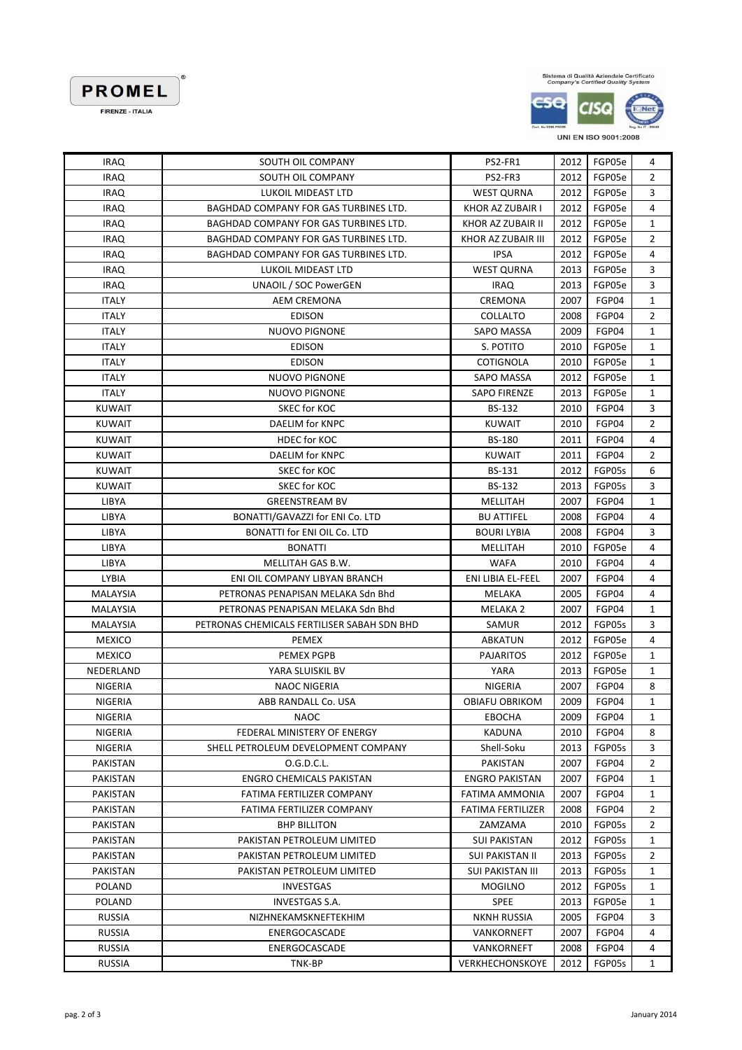

Sistema di Qualità Aziendale Certificato<br>Company's Certified Quality System



UNI EN ISO 9001:2008

| <b>IRAQ</b>     | <b>SOUTH OIL COMPANY</b>                     | PS2-FR1                  | 2012 | FGP05e | 4              |
|-----------------|----------------------------------------------|--------------------------|------|--------|----------------|
| <b>IRAQ</b>     | SOUTH OIL COMPANY                            | PS2-FR3                  | 2012 | FGP05e | $\overline{2}$ |
| <b>IRAQ</b>     | LUKOIL MIDEAST LTD                           | <b>WEST QURNA</b>        | 2012 | FGP05e | 3              |
| <b>IRAQ</b>     | <b>BAGHDAD COMPANY FOR GAS TURBINES LTD.</b> | KHOR AZ ZUBAIR I         | 2012 | FGP05e | 4              |
| <b>IRAQ</b>     | BAGHDAD COMPANY FOR GAS TURBINES LTD.        | KHOR AZ ZUBAIR II        | 2012 | FGP05e | $\mathbf 1$    |
| <b>IRAQ</b>     | BAGHDAD COMPANY FOR GAS TURBINES LTD.        | KHOR AZ ZUBAIR III       | 2012 | FGP05e | 2              |
| <b>IRAQ</b>     | BAGHDAD COMPANY FOR GAS TURBINES LTD.        | <b>IPSA</b>              | 2012 | FGP05e | 4              |
| <b>IRAQ</b>     | LUKOIL MIDEAST LTD                           | <b>WEST QURNA</b>        | 2013 | FGP05e | 3              |
| <b>IRAQ</b>     | UNAOIL / SOC PowerGEN                        | <b>IRAQ</b>              | 2013 | FGP05e | 3              |
| <b>ITALY</b>    | <b>AEM CREMONA</b>                           | CREMONA                  | 2007 | FGP04  | $\mathbf 1$    |
| <b>ITALY</b>    | <b>EDISON</b>                                | COLLALTO                 | 2008 | FGP04  | $\overline{2}$ |
| <b>ITALY</b>    | <b>NUOVO PIGNONE</b>                         | SAPO MASSA               | 2009 | FGP04  | 1              |
| <b>ITALY</b>    | <b>EDISON</b>                                | S. POTITO                | 2010 | FGP05e | $\mathbf 1$    |
| <b>ITALY</b>    | <b>EDISON</b>                                | <b>COTIGNOLA</b>         | 2010 | FGP05e | $\mathbf 1$    |
| <b>ITALY</b>    | <b>NUOVO PIGNONE</b>                         | SAPO MASSA               | 2012 | FGP05e | $\mathbf 1$    |
| <b>ITALY</b>    | <b>NUOVO PIGNONE</b>                         | <b>SAPO FIRENZE</b>      | 2013 | FGP05e | 1              |
| <b>KUWAIT</b>   | SKEC for KOC                                 | BS-132                   | 2010 | FGP04  | 3              |
| <b>KUWAIT</b>   | DAELIM for KNPC                              | <b>KUWAIT</b>            | 2010 | FGP04  | $\overline{2}$ |
| <b>KUWAIT</b>   | HDEC for KOC                                 | <b>BS-180</b>            | 2011 | FGP04  | 4              |
| <b>KUWAIT</b>   | DAELIM for KNPC                              | <b>KUWAIT</b>            | 2011 | FGP04  | 2              |
| <b>KUWAIT</b>   | SKEC for KOC                                 | BS-131                   | 2012 | FGP05s | 6              |
| <b>KUWAIT</b>   | SKEC for KOC                                 | BS-132                   | 2013 | FGP05s | 3              |
| LIBYA           | <b>GREENSTREAM BV</b>                        | MELLITAH                 | 2007 | FGP04  | $\mathbf 1$    |
| LIBYA           | BONATTI/GAVAZZI for ENI Co. LTD              | <b>BU ATTIFEL</b>        | 2008 | FGP04  | 4              |
| LIBYA           | <b>BONATTI for ENI OIL Co. LTD</b>           | <b>BOURI LYBIA</b>       | 2008 | FGP04  | 3              |
| LIBYA           | <b>BONATTI</b>                               | MELLITAH                 | 2010 | FGP05e | 4              |
| LIBYA           | MELLITAH GAS B.W.                            | <b>WAFA</b>              | 2010 | FGP04  | 4              |
| LYBIA           | ENI OIL COMPANY LIBYAN BRANCH                | ENI LIBIA EL-FEEL        | 2007 | FGP04  | 4              |
| MALAYSIA        | PETRONAS PENAPISAN MELAKA Sdn Bhd            | MELAKA                   | 2005 | FGP04  | 4              |
| MALAYSIA        | PETRONAS PENAPISAN MELAKA Sdn Bhd            | MELAKA 2                 | 2007 | FGP04  | $\mathbf 1$    |
| MALAYSIA        | PETRONAS CHEMICALS FERTILISER SABAH SDN BHD  | SAMUR                    | 2012 | FGP05s | 3              |
| <b>MEXICO</b>   | <b>PEMEX</b>                                 | ABKATUN                  | 2012 | FGP05e | 4              |
| <b>MEXICO</b>   | PEMEX PGPB                                   | <b>PAJARITOS</b>         | 2012 | FGP05e | 1              |
| NEDERLAND       | YARA SLUISKIL BV                             | YARA                     | 2013 | FGP05e | $\mathbf 1$    |
| NIGERIA         | <b>NAOC NIGERIA</b>                          | <b>NIGERIA</b>           | 2007 | FGP04  | 8              |
| NIGERIA         | ABB RANDALL Co. USA                          | <b>OBIAFU OBRIKOM</b>    | 2009 | FGP04  | $\mathbf 1$    |
| NIGERIA         | <b>NAOC</b>                                  | EBOCHA                   | 2009 | FGP04  | 1              |
| NIGERIA         | FEDERAL MINISTERY OF ENERGY                  | KADUNA                   | 2010 | FGP04  | 8              |
| <b>NIGERIA</b>  | SHELL PETROLEUM DEVELOPMENT COMPANY          | Shell-Soku               | 2013 | FGP05s | 3              |
| PAKISTAN        | O.G.D.C.L.                                   | PAKISTAN                 | 2007 | FGP04  | 2              |
| <b>PAKISTAN</b> | <b>ENGRO CHEMICALS PAKISTAN</b>              | <b>ENGRO PAKISTAN</b>    | 2007 | FGP04  | 1              |
| PAKISTAN        | <b>FATIMA FERTILIZER COMPANY</b>             | <b>FATIMA AMMONIA</b>    | 2007 | FGP04  | 1              |
| <b>PAKISTAN</b> | <b>FATIMA FERTILIZER COMPANY</b>             | <b>FATIMA FERTILIZER</b> | 2008 | FGP04  | 2              |
| PAKISTAN        | <b>BHP BILLITON</b>                          | ZAMZAMA                  | 2010 | FGP05s | 2              |
| PAKISTAN        | PAKISTAN PETROLEUM LIMITED                   | <b>SUI PAKISTAN</b>      | 2012 | FGP05s | 1              |
| PAKISTAN        | PAKISTAN PETROLEUM LIMITED                   | <b>SUI PAKISTAN II</b>   | 2013 | FGP05s | 2              |
| PAKISTAN        | PAKISTAN PETROLEUM LIMITED                   | <b>SUI PAKISTAN III</b>  | 2013 | FGP05s | 1              |
| POLAND          | <b>INVESTGAS</b>                             | <b>MOGILNO</b>           | 2012 | FGP05s | 1              |
| <b>POLAND</b>   | INVESTGAS S.A.                               | <b>SPEE</b>              | 2013 | FGP05e | 1              |
| <b>RUSSIA</b>   | NIZHNEKAMSKNEFTEKHIM                         | <b>NKNH RUSSIA</b>       | 2005 | FGP04  | 3              |
| <b>RUSSIA</b>   | ENERGOCASCADE                                | <b>VANKORNEFT</b>        | 2007 | FGP04  | 4              |
| <b>RUSSIA</b>   | ENERGOCASCADE                                | VANKORNEFT               | 2008 | FGP04  | 4              |
| <b>RUSSIA</b>   | TNK-BP                                       | <b>VERKHECHONSKOYE</b>   | 2012 | FGP05s | 1              |